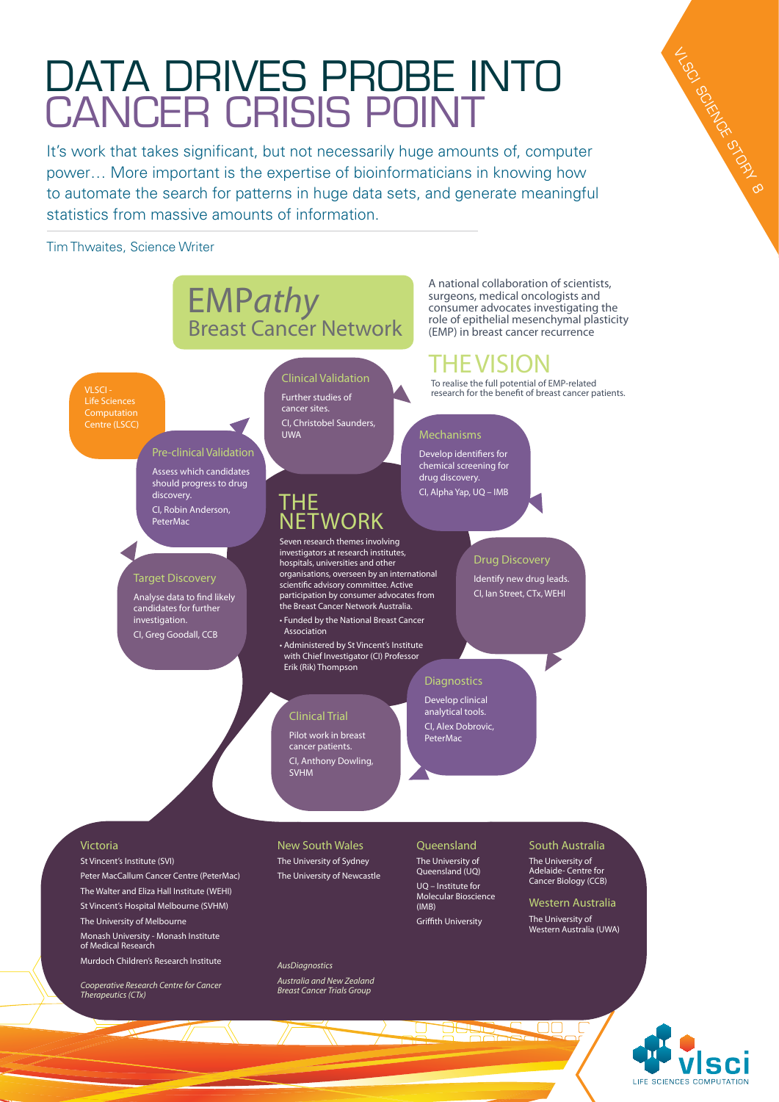# DATA DRIVES PROBE INTO cancer crisis point

It's work that takes significant, but not necessarily huge amounts of, computer power… More important is the expertise of bioinformaticians in knowing how to automate the search for patterns in huge data sets, and generate meaningful statistics from massive amounts of information.

Tim Thwaites, Science Writer

# EMP*athy* Breast Cancer Network

VLSCI - Life Sciences Centre (LSCC)

#### Pre-clinical Validation

Assess which candidates should progress to drug discovery. CI, Robin Anderson, PeterMac

#### Target Discovery

Analyse data to find likely candidates for further investigation. CI, Greg Goodall, CCB

#### Clinical Validation Further studies of cancer sites. CI, Christobel Saunders, UWA Mechanisms

### THE **NETWORK**

Seven research themes involving investigators at research institutes, hospitals, universities and other organisations, overseen by an international scientific advisory committee. Active participation by consumer advocates from the Breast Cancer Network Australia.

• Funded by the National Breast Cancer Association

• Administered by St Vincent's Institute with Chief Investigator (CI) Professor Erik (Rik) Thompson

#### Clinical Trial

Pilot work in breast cancer patients. CI, Anthony Dowling, SVHM

#### Drug Discovery

Identify new drug leads. CI, Ian Street, CTx, WEHI

A national collaboration of scientists, surgeons, medical oncologists and consumer advocates investigating the role of epithelial mesenchymal plasticity (EMP) in breast cancer recurrence

To realise the full potential of EMP-related research for the benefit of breast cancer patients.

HE VISION

#### **Diagnostics**

Develop identifiers for chemical screening for drug discovery. CI, Alpha Yap, UQ – IMB

Develop clinical analytical tools. CI, Alex Dobrovic, PeterMac

#### Victoria

St Vincent's Institute (SVI)

Peter MacCallum Cancer Centre (PeterMac) The Walter and Eliza Hall Institute (WEHI) St Vincent's Hospital Melbourne (SVHM) The University of Melbourne Monash University - Monash Institute of Medical Research Murdoch Children's Research Institute

*Cooperative Research Centre for Cancer Therapeutics (CTx)*

#### New South Wales The University of Sydney The University of Newcastle

*AusDiagnostics Australia and New Zealand Breast Cancer Trials Group*

Queensland The University of Queensland (UQ) UQ – Institute for Molecular Bioscience (IMB) Griffith University

## South Australia

The University of Adelaide- Centre for Cancer Biology (CCB)

Western Australia The University of Western Australia (UWA)



VLSC SCIENCE STORY 8